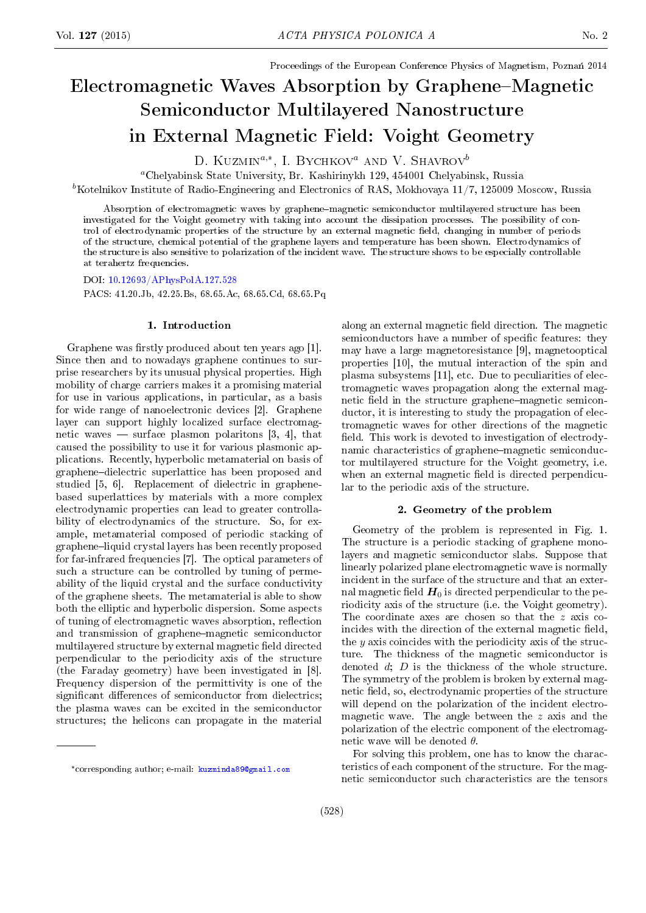Proceedings of the European Conference Physics of Magnetism, Poznań 2014

# Electromagnetic Waves Absorption by Graphene–Magnetic Semiconductor Multilayered Nanostructure in External Magnetic Field: Voight Geometry

D. KUZMIN<sup>a,\*</sup>, I. BYCHKOV<sup>a</sup> AND V. SHAVROV<sup>b</sup>

<sup>a</sup>Chelyabinsk State University, Br. Kashirinykh 129, 454001 Chelyabinsk, Russia

 ${}^b$ Kotelnikov Institute of Radio-Engineering and Electronics of RAS, Mokhovaya 11/7, 125009 Moscow, Russia

Absorption of electromagnetic waves by graphene-magnetic semiconductor multilayered structure has been investigated for the Voight geometry with taking into account the dissipation processes. The possibility of control of electrodynamic properties of the structure by an external magnetic eld, changing in number of periods of the structure, chemical potential of the graphene layers and temperature has been shown. Electrodynamics of the structure is also sensitive to polarization of the incident wave. The structure shows to be especially controllable at terahertz frequencies.

DOI: [10.12693/APhysPolA.127.528](http://dx.doi.org/10.12693/APhysPolA.127.528)

PACS: 41.20.Jb, 42.25.Bs, 68.65.Ac, 68.65.Cd, 68.65.Pq

## 1. Introduction

Graphene was firstly produced about ten years ago [1]. Since then and to nowadays graphene continues to surprise researchers by its unusual physical properties. High mobility of charge carriers makes it a promising material for use in various applications, in particular, as a basis for wide range of nanoelectronic devices [2]. Graphene layer can support highly localized surface electromagnetic waves  $\sim$  surface plasmon polaritons [3, 4], that caused the possibility to use it for various plasmonic applications. Recently, hyperbolic metamaterial on basis of graphenedielectric superlattice has been proposed and studied [5, 6]. Replacement of dielectric in graphenebased superlattices by materials with a more complex electrodynamic properties can lead to greater controllability of electrodynamics of the structure. So, for example, metamaterial composed of periodic stacking of graphene-liquid crystal layers has been recently proposed for far-infrared frequencies [7]. The optical parameters of such a structure can be controlled by tuning of permeability of the liquid crystal and the surface conductivity of the graphene sheets. The metamaterial is able to show both the elliptic and hyperbolic dispersion. Some aspects of tuning of electromagnetic waves absorption, reflection and transmission of graphene-magnetic semiconductor multilayered structure by external magnetic field directed perpendicular to the periodicity axis of the structure (the Faraday geometry) have been investigated in [8]. Frequency dispersion of the permittivity is one of the significant differences of semiconductor from dielectrics; the plasma waves can be excited in the semiconductor structures; the helicons can propagate in the material along an external magnetic field direction. The magnetic semiconductors have a number of specific features: they may have a large magnetoresistance [9], magnetooptical properties [10], the mutual interaction of the spin and plasma subsystems [11], etc. Due to peculiarities of electromagnetic waves propagation along the external magnetic field in the structure graphene-magnetic semiconductor, it is interesting to study the propagation of electromagnetic waves for other directions of the magnetic field. This work is devoted to investigation of electrodynamic characteristics of graphene-magnetic semiconductor multilayered structure for the Voight geometry, i.e. when an external magnetic field is directed perpendicular to the periodic axis of the structure.

#### 2. Geometry of the problem

Geometry of the problem is represented in Fig. 1. The structure is a periodic stacking of graphene monolayers and magnetic semiconductor slabs. Suppose that linearly polarized plane electromagnetic wave is normally incident in the surface of the structure and that an external magnetic field  $H_0$  is directed perpendicular to the periodicity axis of the structure (i.e. the Voight geometry). The coordinate axes are chosen so that the z axis coincides with the direction of the external magnetic field, the  $\gamma$  axis coincides with the periodicity axis of the structure. The thickness of the magnetic semiconductor is denoted d; D is the thickness of the whole structure. The symmetry of the problem is broken by external magnetic field, so, electrodynamic properties of the structure will depend on the polarization of the incident electromagnetic wave. The angle between the  $z$  axis and the polarization of the electric component of the electromagnetic wave will be denoted  $\theta$ .

For solving this problem, one has to know the characteristics of each component of the structure. For the magnetic semiconductor such characteristics are the tensors

<sup>\*</sup>corresponding author; e-mail: [kuzminda89@gmail.com](mailto:kuzminda89@gmail.com)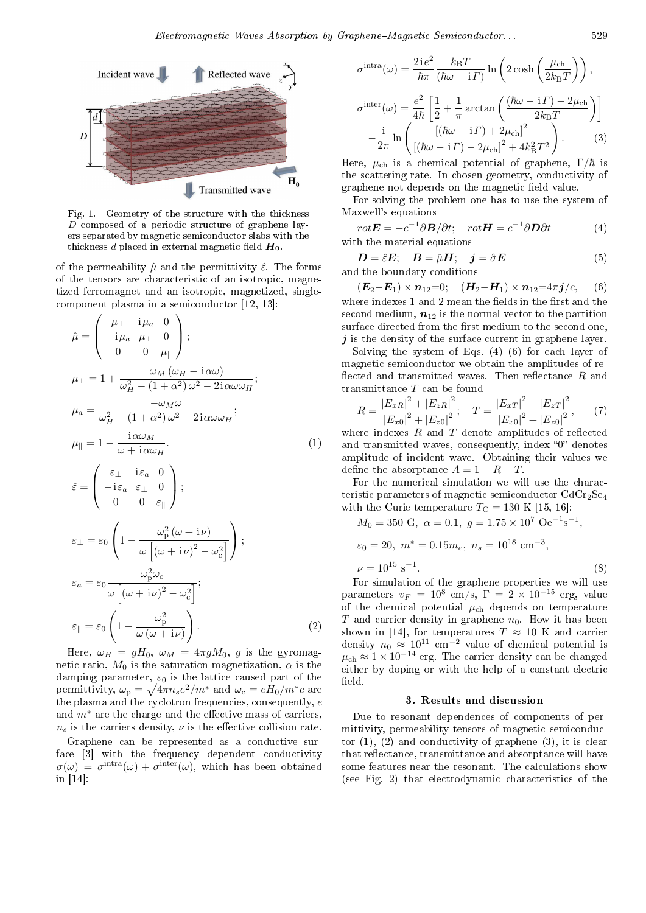

Fig. 1. Geometry of the structure with the thickness  $D$  composed of a periodic structure of graphene layers separated by magnetic semiconductor slabs with the thickness d placed in external magnetic field  $H_0$ .

of the permeability  $\hat{\mu}$  and the permittivity  $\hat{\varepsilon}$ . The forms of the tensors are characteristic of an isotropic, magnetized ferromagnet and an isotropic, magnetized, singlecomponent plasma in a semiconductor [12, 13]:

$$
\hat{\mu} = \begin{pmatrix}\n\mu_{\perp} & i\mu_{a} & 0 \\
-i\mu_{a} & \mu_{\perp} & 0 \\
0 & 0 & \mu_{\parallel}\n\end{pmatrix};
$$
\n
$$
\mu_{\perp} = 1 + \frac{\omega_{M} (\omega_{H} - i\alpha\omega)}{\omega_{H}^{2} - (1 + \alpha^{2})\omega^{2} - 2i\alpha\omega\omega_{H}};
$$
\n
$$
\mu_{a} = \frac{-\omega_{M}\omega}{\omega_{H}^{2} - (1 + \alpha^{2})\omega^{2} - 2i\alpha\omega\omega_{H}};
$$
\n
$$
\mu_{\parallel} = 1 - \frac{i\alpha\omega_{M}}{\omega + i\alpha\omega_{H}}.
$$
\n
$$
\hat{\epsilon} = \begin{pmatrix}\n\varepsilon_{\perp} & i\varepsilon_{a} & 0 \\
-i\varepsilon_{a} & \varepsilon_{\perp} & 0 \\
0 & 0 & \varepsilon_{\parallel}\n\end{pmatrix};
$$
\n
$$
\varepsilon_{\perp} = \varepsilon_{0} \begin{pmatrix}\n1 - \frac{\omega_{P}^{2}(\omega + i\nu)}{\omega[(\omega + i\nu)^{2} - \omega_{c}^{2}]}\n\end{pmatrix};
$$
\n
$$
\varepsilon_{a} = \varepsilon_{0} \frac{\omega_{P}^{2}\omega_{c}}{\omega[(\omega + i\nu)^{2} - \omega_{c}^{2}]};
$$
\n
$$
\varepsilon_{\parallel} = \varepsilon_{0} \left(1 - \frac{\omega_{P}^{2}}{\omega(\omega + i\nu)}\right).
$$
\n(2)

Here,  $\omega_H = gH_0$ ,  $\omega_M = 4\pi gM_0$ , g is the gyromagnetic ratio,  $M_0$  is the saturation magnetization,  $\alpha$  is the damping parameter,  $\varepsilon_0$  is the lattice caused part of the permittivity,  $\omega_{\rm p} = \sqrt{4\pi n_s e^2/m^*}$  and  $\omega_{\rm c} = eH_0/m^*c$  are the plasma and the cyclotron frequencies, consequently, e and  $m^*$  are the charge and the effective mass of carriers,  $n<sub>s</sub>$  is the carriers density,  $\nu$  is the effective collision rate.

Graphene can be represented as a conductive surface [3] with the frequency dependent conductivity  $\sigma(\omega) = \sigma^{\text{intra}}(\omega) + \sigma^{\text{inter}}(\omega)$ , which has been obtained in [14]:

$$
\sigma^{\text{intra}}(\omega) = \frac{2ie^2}{\hbar\pi} \frac{k_{\text{B}}T}{(\hbar\omega - i\Gamma)} \ln\left(2\cosh\left(\frac{\mu_{\text{ch}}}{2k_{\text{B}}T}\right)\right),
$$

$$
\sigma^{\text{inter}}(\omega) = \frac{e^2}{4\hbar} \left[\frac{1}{2} + \frac{1}{\pi}\arctan\left(\frac{(\hbar\omega - i\Gamma) - 2\mu_{\text{ch}}}{2k_{\text{B}}T}\right)\right]
$$

$$
-\frac{i}{2\pi} \ln\left(\frac{\left[(\hbar\omega - i\Gamma) + 2\mu_{\text{ch}}\right]^2}{\left[(\hbar\omega - i\Gamma) - 2\mu_{\text{ch}}\right]^2 + 4k_{\text{B}}^2T^2}\right).
$$
(3)

Here,  $\mu_{ch}$  is a chemical potential of graphene,  $\Gamma/\hbar$  is the scattering rate. In chosen geometry, conductivity of graphene not depends on the magnetic field value.

For solving the problem one has to use the system of Maxwell's equations

$$
rot\mathbf{E} = -c^{-1}\partial \mathbf{B}/\partial t; \quad rot\mathbf{H} = c^{-1}\partial \mathbf{D}\partial t \tag{4}
$$
  
with the material equations

$$
D = \hat{\varepsilon}E; \quad B = \hat{\mu}H; \quad j = \hat{\sigma}E \tag{5}
$$

and the boundary conditions

 $(E_2-E_1) \times n_{12}=0; \quad (H_2-H_1) \times n_{12}=4\pi j/c, \quad (6)$ where indexes 1 and 2 mean the fields in the first and the second medium,  $n_{12}$  is the normal vector to the partition surface directed from the first medium to the second one,  $j$  is the density of the surface current in graphene layer.

Solving the system of Eqs.  $(4)-(6)$  for each layer of magnetic semiconductor we obtain the amplitudes of re flected and transmitted waves. Then reflectance  $R$  and transmittance T can be found

$$
R = \frac{|E_{xR}|^2 + |E_{zR}|^2}{|E_{x0}|^2 + |E_{z0}|^2}; \quad T = \frac{|E_{xT}|^2 + |E_{zT}|^2}{|E_{x0}|^2 + |E_{z0}|^2}, \quad (7)
$$

where indexes  $R$  and  $T$  denote amplitudes of reflected and transmitted waves, consequently, index " $0$ " denotes amplitude of incident wave. Obtaining their values we define the absorptance  $A = 1 - R - T$ .

For the numerical simulation we will use the characteristic parameters of magnetic semiconductor  $CdCr<sub>2</sub>Se<sub>4</sub>$ with the Curie temperature  $T_{\rm C} = 130 \text{ K}$  [15, 16]:

$$
M_0 = 350 \text{ G}, \ \alpha = 0.1, \ g = 1.75 \times 10^7 \text{ Oe}^{-1} \text{s}^{-1},
$$
  

$$
\varepsilon_0 = 20, \ m^* = 0.15 m_e, \ n_s = 10^{18} \text{ cm}^{-3},
$$
  

$$
\nu = 10^{15} \text{ s}^{-1}.
$$
 (8)

For simulation of the graphene properties we will use parameters  $v_F = 10^8$  cm/s,  $\Gamma = 2 \times 10^{-15}$  erg, value of the chemical potential  $\mu_{ch}$  depends on temperature T and carrier density in graphene  $n_0$ . How it has been shown in [14], for temperatures  $T \approx 10$  K and carrier density  $n_0 \approx 10^{11}$  cm<sup>-2</sup> value of chemical potential is  $\mu_{\rm ch} \approx 1 \times 10^{-14}$  erg. The carrier density can be changed either by doping or with the help of a constant electric field.

#### 3. Results and discussion

Due to resonant dependences of components of permittivity, permeability tensors of magnetic semiconductor  $(1)$ ,  $(2)$  and conductivity of graphene  $(3)$ , it is clear that reflectance, transmittance and absorptance will have some features near the resonant. The calculations show (see Fig. 2) that electrodynamic characteristics of the